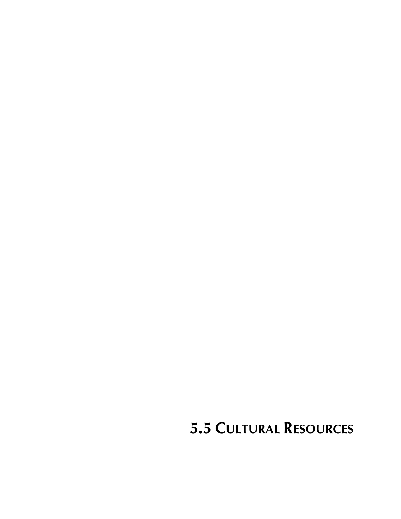**5.5 CULTURAL RESOURCES**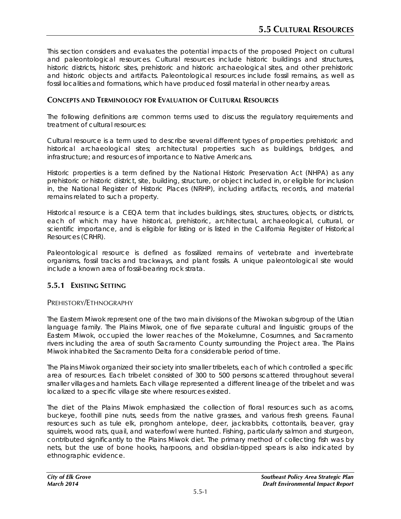This section considers and evaluates the potential impacts of the proposed Project on cultural and paleontological resources. Cultural resources include historic buildings and structures, historic districts, historic sites, prehistoric and historic archaeological sites, and other prehistoric and historic objects and artifacts. Paleontological resources include fossil remains, as well as fossil localities and formations, which have produced fossil material in other nearby areas.

### **CONCEPTS AND TERMINOLOGY FOR EVALUATION OF CULTURAL RESOURCES**

The following definitions are common terms used to discuss the regulatory requirements and treatment of cultural resources:

*Cultural resource* is a term used to describe several different types of properties: prehistoric and historical archaeological sites; architectural properties such as buildings, bridges, and infrastructure; and resources of importance to Native Americans.

*Historic properties* is a term defined by the National Historic Preservation Act (NHPA) as any prehistoric or historic district, site, building, structure, or object included in, or eligible for inclusion in, the National Register of Historic Places (NRHP), including artifacts, records, and material remains related to such a property.

*Historical resource* is a CEQA term that includes buildings, sites, structures, objects, or districts, each of which may have historical, prehistoric, architectural, archaeological, cultural, or scientific importance, and is eligible for listing or is listed in the California Register of Historical Resources (CRHR).

*Paleontological resource* is defined as fossilized remains of vertebrate and invertebrate organisms, fossil tracks and trackways, and plant fossils. A unique paleontological site would include a known area of fossil-bearing rock strata.

## **5.5.1 EXISTING SETTING**

#### PREHISTORY/ETHNOGRAPHY

The Eastern Miwok represent one of the two main divisions of the Miwokan subgroup of the Utian language family. The Plains Miwok, one of five separate cultural and linguistic groups of the Eastern Miwok, occupied the lower reaches of the Mokelumne, Cosumnes, and Sacramento rivers including the area of south Sacramento County surrounding the Project area. The Plains Miwok inhabited the Sacramento Delta for a considerable period of time.

The Plains Miwok organized their society into smaller tribelets, each of which controlled a specific area of resources. Each tribelet consisted of 300 to 500 persons scattered throughout several smaller villages and hamlets. Each village represented a different lineage of the tribelet and was localized to a specific village site where resources existed.

The diet of the Plains Miwok emphasized the collection of floral resources such as acorns, buckeye, foothill pine nuts, seeds from the native grasses, and various fresh greens. Faunal resources such as tule elk, pronghorn antelope, deer, jackrabbits, cottontails, beaver, gray squirrels, wood rats, quail, and waterfowl were hunted. Fishing, particularly salmon and sturgeon, contributed significantly to the Plains Miwok diet. The primary method of collecting fish was by nets, but the use of bone hooks, harpoons, and obsidian-tipped spears is also indicated by ethnographic evidence.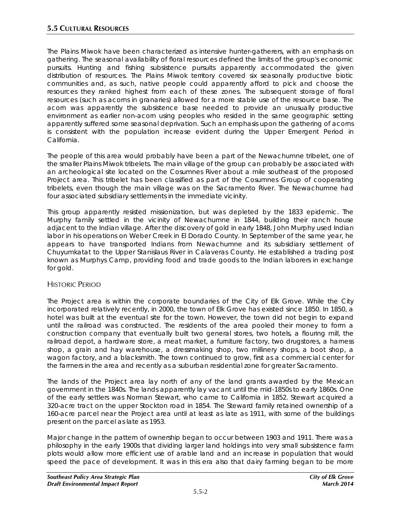The Plains Miwok have been characterized as intensive hunter-gatherers, with an emphasis on gathering. The seasonal availability of floral resources defined the limits of the group's economic pursuits. Hunting and fishing subsistence pursuits apparently accommodated the given distribution of resources. The Plains Miwok territory covered six seasonally productive biotic communities and, as such, native people could apparently afford to pick and choose the resources they ranked highest from each of these zones. The subsequent storage of floral resources (such as acorns in granaries) allowed for a more stable use of the resource base. The acorn was apparently the subsistence base needed to provide an unusually productive environment as earlier non-acorn using peoples who resided in the same geographic setting apparently suffered some seasonal deprivation. Such an emphasis upon the gathering of acorns is consistent with the population increase evident during the Upper Emergent Period in California.

The people of this area would probably have been a part of the Newachumne tribelet, one of the smaller Plains Miwok tribelets. The main village of the group can probably be associated with an archeological site located on the Cosumnes River about a mile southeast of the proposed Project area. This tribelet has been classified as part of the Cosumnes Group of cooperating tribelets, even though the main village was on the Sacramento River. The Newachumne had four associated subsidiary settlements in the immediate vicinity.

This group apparently resisted missionization, but was depleted by the 1833 epidemic. The Murphy family settled in the vicinity of Newachumne in 1844, building their ranch house adjacent to the Indian village. After the discovery of gold in early 1848, John Murphy used Indian labor in his operations on Weber Creek in El Dorado County. In September of the same year, he appears to have transported Indians from Newachumne and its subsidiary settlement of Chuyumkatat to the Upper Stanislaus River in Calaveras County. He established a trading post known as Murphys Camp, providing food and trade goods to the Indian laborers in exchange for gold.

## HISTORIC PERIOD

The Project area is within the corporate boundaries of the City of Elk Grove. While the City incorporated relatively recently, in 2000, the town of Elk Grove has existed since 1850. In 1850, a hotel was built at the eventual site for the town. However, the town did not begin to expand until the railroad was constructed. The residents of the area pooled their money to form a construction company that eventually built two general stores, two hotels, a flouring mill, the railroad depot, a hardware store, a meat market, a furniture factory, two drugstores, a harness shop, a grain and hay warehouse, a dressmaking shop, two millinery shops, a boot shop, a wagon factory, and a blacksmith. The town continued to grow, first as a commercial center for the farmers in the area and recently as a suburban residential zone for greater Sacramento.

The lands of the Project area lay north of any of the land grants awarded by the Mexican government in the 1840s. The lands apparently lay vacant until the mid-1850s to early 1860s. One of the early settlers was Norman Stewart, who came to California in 1852. Stewart acquired a 320-acre tract on the upper Stockton road in 1854. The Steward family retained ownership of a 160-acre parcel near the Project area until at least as late as 1911, with some of the buildings present on the parcel as late as 1953.

Major change in the pattern of ownership began to occur between 1903 and 1911. There was a philosophy in the early 1900s that dividing larger land holdings into very small subsistence farm plots would allow more efficient use of arable land and an increase in population that would speed the pace of development. It was in this era also that dairy farming began to be more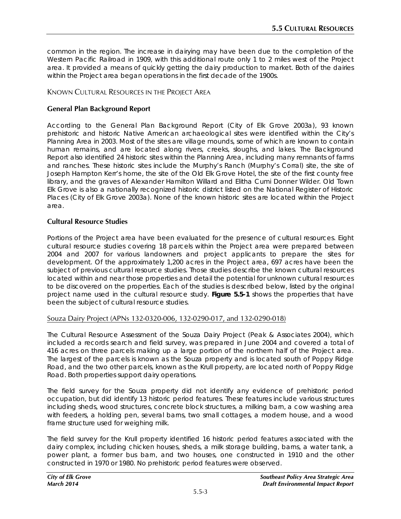common in the region. The increase in dairying may have been due to the completion of the Western Pacific Railroad in 1909, with this additional route only 1 to 2 miles west of the Project area. It provided a means of quickly getting the dairy production to market. Both of the dairies within the Project area began operations in the first decade of the 1900s.

KNOWN CULTURAL RESOURCES IN THE PROJECT AREA

### **General Plan Background Report**

According to the General Plan Background Report (City of Elk Grove 2003a), 93 known prehistoric and historic Native American archaeological sites were identified within the City's Planning Area in 2003. Most of the sites are village mounds, some of which are known to contain human remains, and are located along rivers, creeks, sloughs, and lakes. The Background Report also identified 24 historic sites within the Planning Area, including many remnants of farms and ranches. These historic sites include the Murphy's Ranch (Murphy's Corral) site, the site of Joseph Hampton Kerr's home, the site of the Old Elk Grove Hotel, the site of the first county free library, and the graves of Alexander Hamilton Willard and Elitha Cumi Donner Wilder. Old Town Elk Grove is also a nationally recognized historic district listed on the National Register of Historic Places (City of Elk Grove 2003a). None of the known historic sites are located within the Project area.

### **Cultural Resource Studies**

Portions of the Project area have been evaluated for the presence of cultural resources. Eight cultural resource studies covering 18 parcels within the Project area were prepared between 2004 and 2007 for various landowners and project applicants to prepare the sites for development. Of the approximately 1,200 acres in the Project area, 697 acres have been the subject of previous cultural resource studies. Those studies describe the known cultural resources located within and near those properties and detail the potential for unknown cultural resources to be discovered on the properties. Each of the studies is described below, listed by the original project name used in the cultural resource study. **Figure 5.5-1** shows the properties that have been the subject of cultural resource studies.

#### Souza Dairy Project (APNs 132-0320-006, 132-0290-017, and 132-0290-018)

The Cultural Resource Assessment of the Souza Dairy Project (Peak & Associates 2004), which included a records search and field survey, was prepared in June 2004 and covered a total of 416 acres on three parcels making up a large portion of the northern half of the Project area. The largest of the parcels is known as the Souza property and is located south of Poppy Ridge Road, and the two other parcels, known as the Krull property, are located north of Poppy Ridge Road. Both properties support dairy operations.

The field survey for the Souza property did not identify any evidence of prehistoric period occupation, but did identify 13 historic period features. These features include various structures including sheds, wood structures, concrete block structures, a milking barn, a cow washing area with feeders, a holding pen, several barns, two small cottages, a modern house, and a wood frame structure used for weighing milk.

The field survey for the Krull property identified 16 historic period features associated with the dairy complex, including chicken houses, sheds, a milk storage building, barns, a water tank, a power plant, a former bus barn, and two houses, one constructed in 1910 and the other constructed in 1970 or 1980. No prehistoric period features were observed.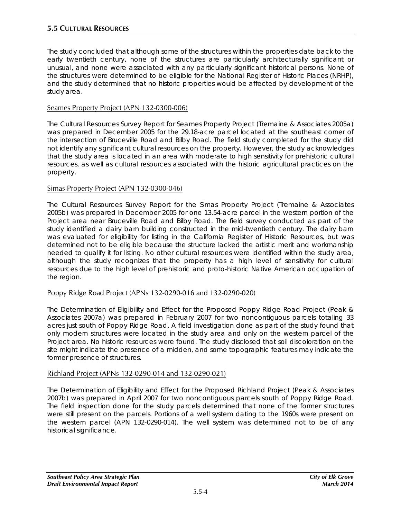The study concluded that although some of the structures within the properties date back to the early twentieth century, none of the structures are particularly architecturally significant or unusual, and none were associated with any particularly significant historical persons. None of the structures were determined to be eligible for the National Register of Historic Places (NRHP), and the study determined that no historic properties would be affected by development of the study area.

## Seames Property Project (APN 132-0300-006)

The Cultural Resources Survey Report for Seames Property Project (Tremaine & Associates 2005a) was prepared in December 2005 for the 29.18-acre parcel located at the southeast corner of the intersection of Bruceville Road and Bilby Road. The field study completed for the study did not identify any significant cultural resources on the property. However, the study acknowledges that the study area is located in an area with moderate to high sensitivity for prehistoric cultural resources, as well as cultural resources associated with the historic agricultural practices on the property.

### Simas Property Project (APN 132-0300-046)

The Cultural Resources Survey Report for the Simas Property Project (Tremaine & Associates 2005b) was prepared in December 2005 for one 13.54-acre parcel in the western portion of the Project area near Bruceville Road and Bilby Road. The field survey conducted as part of the study identified a dairy barn building constructed in the mid-twentieth century. The dairy barn was evaluated for eligibility for listing in the California Register of Historic Resources, but was determined not to be eligible because the structure lacked the artistic merit and workmanship needed to qualify it for listing. No other cultural resources were identified within the study area, although the study recognizes that the property has a high level of sensitivity for cultural resources due to the high level of prehistoric and proto-historic Native American occupation of the region.

## Poppy Ridge Road Project (APNs 132-0290-016 and 132-0290-020)

The Determination of Eligibility and Effect for the Proposed Poppy Ridge Road Project (Peak & Associates 2007a) was prepared in February 2007 for two noncontiguous parcels totaling 33 acres just south of Poppy Ridge Road. A field investigation done as part of the study found that only modern structures were located in the study area and only on the western parcel of the Project area. No historic resources were found. The study disclosed that soil discoloration on the site might indicate the presence of a midden, and some topographic features may indicate the former presence of structures.

#### Richland Project (APNs 132-0290-014 and 132-0290-021)

The Determination of Eligibility and Effect for the Proposed Richland Project (Peak & Associates 2007b) was prepared in April 2007 for two noncontiguous parcels south of Poppy Ridge Road. The field inspection done for the study parcels determined that none of the former structures were still present on the parcels. Portions of a well system dating to the 1960s were present on the western parcel (APN 132-0290-014). The well system was determined not to be of any historical significance.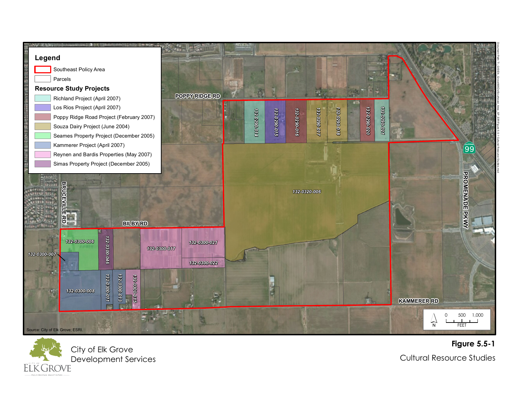



**F i g u r e 5 . 5 - 1** Cultural Resource Studies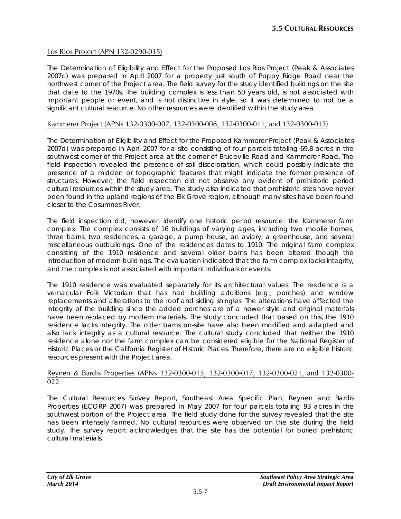### Los Rios Project (APN 132-0290-015)

The Determination of Eligibility and Effect for the Proposed Los Rios Project (Peak & Associates 2007c) was prepared in April 2007 for a property just south of Poppy Ridge Road near the northwest corner of the Project area. The field survey for the study identified buildings on the site that date to the 1970s. The building complex is less than 50 years old, is not associated with important people or event, and is not distinctive in style, so it was determined to not be a significant cultural resource. No other resources were identified within the study area.

#### Kammerer Project (APNs 132-0300-007, 132-0300-008, 132-0300-011, and 132-0300-013)

The Determination of Eligibility and Effect for the Proposed Kammerer Project (Peak & Associates 2007d) was prepared in April 2007 for a site consisting of four parcels totaling 69.8 acres in the southwest corner of the Project area at the corner of Bruceville Road and Kammerer Road. The field inspection revealed the presence of soil discoloration, which could possibly indicate the presence of a midden or topographic features that might indicate the former presence of structures. However, the field inspection did not observe any evident of prehistoric period cultural resources within the study area. The study also indicated that prehistoric sites have never been found in the upland regions of the Elk Grove region, although many sites have been found closer to the Cosumnes River.

The field inspection did, however, identify one historic period resource: the Kammerer farm complex. The complex consists of 16 buildings of varying ages, including two mobile homes, three barns, two residences, a garage, a pump house, an aviary, a greenhouse, and several miscellaneous outbuildings. One of the residences dates to 1910. The original farm complex consisting of the 1910 residence and several older barns has been altered though the introduction of modern buildings. The evaluation indicated that the farm complex lacks integrity, and the complex is not associated with important individuals or events.

The 1910 residence was evaluated separately for its architectural values. The residence is a vernacular Folk Victorian that has had building additions (e.g., porches) and window replacements and alterations to the roof and siding shingles. The alterations have affected the integrity of the building since the added porches are of a newer style and original materials have been replaced by modern materials. The study concluded that based on this, the 1910 residence lacks integrity. The older barns on-site have also been modified and adapted and also lack integrity as a cultural resource. The cultural study concluded that neither the 1910 residence alone nor the farm complex can be considered eligible for the National Register of Historic Places or the California Register of Historic Places. Therefore, there are no eligible historic resources present with the Project area.

#### Reynen & Bardis Properties (APNs 132-0300-015, 132-0300-017, 132-0300-021, and 132-0300- 022

The Cultural Resources Survey Report, Southeast Area Specific Plan, Reynen and Bardis Properties (ECORP 2007) was prepared in May 2007 for four parcels totaling 93 acres in the southwest portion of the Project area. The field study done for the survey revealed that the site has been intensely farmed. No cultural resources were observed on the site during the field study. The survey report acknowledges that the site has the potential for buried prehistoric cultural materials.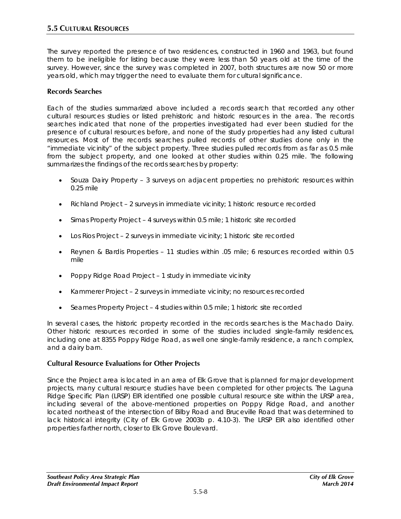The survey reported the presence of two residences, constructed in 1960 and 1963, but found them to be ineligible for listing because they were less than 50 years old at the time of the survey. However, since the survey was completed in 2007, both structures are now 50 or more years old, which may trigger the need to evaluate them for cultural significance.

#### **Records Searches**

Each of the studies summarized above included a records search that recorded any other cultural resources studies or listed prehistoric and historic resources in the area. The records searches indicated that none of the properties investigated had ever been studied for the presence of cultural resources before, and none of the study properties had any listed cultural resources. Most of the records searches pulled records of other studies done only in the "immediate vicinity" of the subject property. Three studies pulled records from as far as 0.5 mile from the subject property, and one looked at other studies within 0.25 mile. The following summarizes the findings of the records searches by property:

- Souza Dairy Property 3 surveys on adjacent properties; no prehistoric resources within 0.25 mile
- Richland Project 2 surveys in immediate vicinity; 1 historic resource recorded
- Simas Property Project 4 surveys within 0.5 mile; 1 historic site recorded
- Los Rios Project 2 surveys in immediate vicinity; 1 historic site recorded
- Reynen & Bardis Properties 11 studies within .05 mile; 6 resources recorded within 0.5 mile
- Poppy Ridge Road Project 1 study in immediate vicinity
- Kammerer Project 2 surveys in immediate vicinity; no resources recorded
- Seames Property Project 4 studies within 0.5 mile; 1 historic site recorded

In several cases, the historic property recorded in the records searches is the Machado Dairy. Other historic resources recorded in some of the studies included single-family residences, including one at 8355 Poppy Ridge Road, as well one single-family residence, a ranch complex, and a dairy barn.

#### **Cultural Resource Evaluations for Other Projects**

Since the Project area is located in an area of Elk Grove that is planned for major development projects, many cultural resource studies have been completed for other projects. The Laguna Ridge Specific Plan (LRSP) EIR identified one possible cultural resource site within the LRSP area, including several of the above-mentioned properties on Poppy Ridge Road, and another located northeast of the intersection of Bilby Road and Bruceville Road that was determined to lack historical integrity (City of Elk Grove 2003b p. 4.10-3). The LRSP EIR also identified other properties farther north, closer to Elk Grove Boulevard.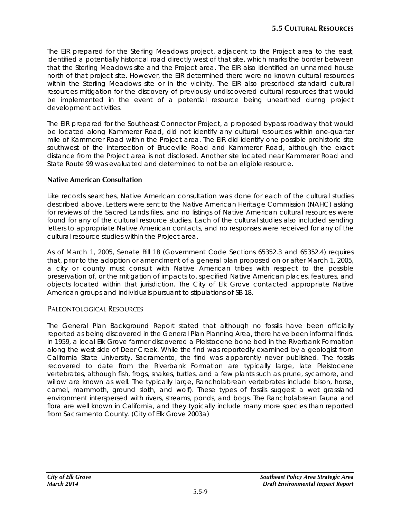The EIR prepared for the Sterling Meadows project, adjacent to the Project area to the east, identified a potentially historical road directly west of that site, which marks the border between that the Sterling Meadows site and the Project area. The EIR also identified an unnamed house north of that project site. However, the EIR determined there were no known cultural resources within the Sterling Meadows site or in the vicinity. The EIR also prescribed standard cultural resources mitigation for the discovery of previously undiscovered cultural resources that would be implemented in the event of a potential resource being unearthed during project development activities.

The EIR prepared for the Southeast Connector Project, a proposed bypass roadway that would be located along Kammerer Road, did not identify any cultural resources within one-quarter mile of Kammerer Road within the Project area. The EIR did identify one possible prehistoric site southwest of the intersection of Bruceville Road and Kammerer Road, although the exact distance from the Project area is not disclosed. Another site located near Kammerer Road and State Route 99 was evaluated and determined to not be an eligible resource.

### **Native American Consultation**

Like records searches, Native American consultation was done for each of the cultural studies described above. Letters were sent to the Native American Heritage Commission (NAHC) asking for reviews of the Sacred Lands files, and no listings of Native American cultural resources were found for any of the cultural resource studies. Each of the cultural studies also included sending letters to appropriate Native American contacts, and no responses were received for any of the cultural resource studies within the Project area.

As of March 1, 2005, Senate Bill 18 (Government Code Sections 65352.3 and 65352.4) requires that, prior to the adoption or amendment of a general plan proposed on or after March 1, 2005, a city or county must consult with Native American tribes with respect to the possible preservation of, or the mitigation of impacts to, specified Native American places, features, and objects located within that jurisdiction. The City of Elk Grove contacted appropriate Native American groups and individuals pursuant to stipulations of SB 18.

## PALEONTOLOGICAL RESOURCES

The General Plan Background Report stated that although no fossils have been officially reported as being discovered in the General Plan Planning Area, there have been informal finds. In 1959, a local Elk Grove farmer discovered a Pleistocene bone bed in the Riverbank Formation along the west side of Deer Creek. While the find was reportedly examined by a geologist from California State University, Sacramento, the find was apparently never published. The fossils recovered to date from the Riverbank Formation are typically large, late Pleistocene vertebrates, although fish, frogs, snakes, turtles, and a few plants such as prune, sycamore, and willow are known as well. The typically large, Rancholabrean vertebrates include bison, horse, camel, mammoth, ground sloth, and wolf). These types of fossils suggest a wet grassland environment interspersed with rivers, streams, ponds, and bogs. The Rancholabrean fauna and flora are well known in California, and they typically include many more species than reported from Sacramento County. (City of Elk Grove 2003a)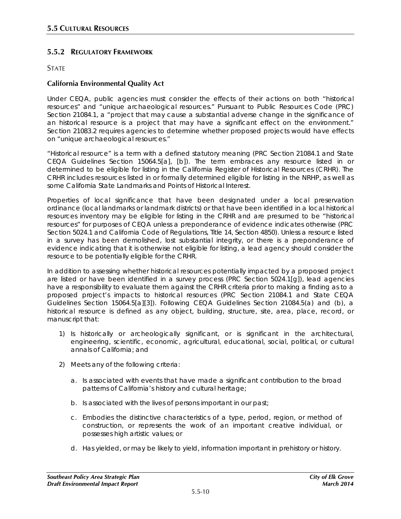# **5.5.2 REGULATORY FRAMEWORK**

### **STATE**

### **California Environmental Quality Act**

Under CEQA, public agencies must consider the effects of their actions on both "historical resources" and "unique archaeological resources." Pursuant to Public Resources Code (PRC) Section 21084.1, a "project that may cause a substantial adverse change in the significance of an historical resource is a project that may have a significant effect on the environment." Section 21083.2 requires agencies to determine whether proposed projects would have effects on "unique archaeological resources."

"Historical resource" is a term with a defined statutory meaning (PRC Section 21084.1 and State CEQA Guidelines Section 15064.5[a], [b]). The term embraces any resource listed in or determined to be eligible for listing in the California Register of Historical Resources (CRHR). The CRHR includes resources listed in or formally determined eligible for listing in the NRHP, as well as some California State Landmarks and Points of Historical Interest.

Properties of local significance that have been designated under a local preservation ordinance (local landmarks or landmark districts) or that have been identified in a local historical resources inventory may be eligible for listing in the CRHR and are presumed to be "historical resources" for purposes of CEQA unless a preponderance of evidence indicates otherwise (PRC Section 5024.1 and California Code of Regulations, Title 14, Section 4850). Unless a resource listed in a survey has been demolished, lost substantial integrity, or there is a preponderance of evidence indicating that it is otherwise not eligible for listing, a lead agency should consider the resource to be potentially eligible for the CRHR.

In addition to assessing whether historical resources potentially impacted by a proposed project are listed or have been identified in a survey process (PRC Section 5024.1[g]), lead agencies have a responsibility to evaluate them against the CRHR criteria prior to making a finding as to a proposed project's impacts to historical resources (PRC Section 21084.1 and State CEQA Guidelines Section 15064.5[a][3]). Following CEQA Guidelines Section 21084.5(a) and (b), a historical resource is defined as any object, building, structure, site, area, place, record, or manuscript that:

- 1) Is historically or archeologically significant, or is significant in the architectural, engineering, scientific, economic, agricultural, educational, social, political, or cultural annals of California; and
- 2) Meets any of the following criteria:
	- a. Is associated with events that have made a significant contribution to the broad patterns of California's history and cultural heritage;
	- b. Is associated with the lives of persons important in our past;
	- c. Embodies the distinctive characteristics of a type, period, region, or method of construction, or represents the work of an important creative individual, or possesses high artistic values; or
	- d. Has yielded, or may be likely to yield, information important in prehistory or history.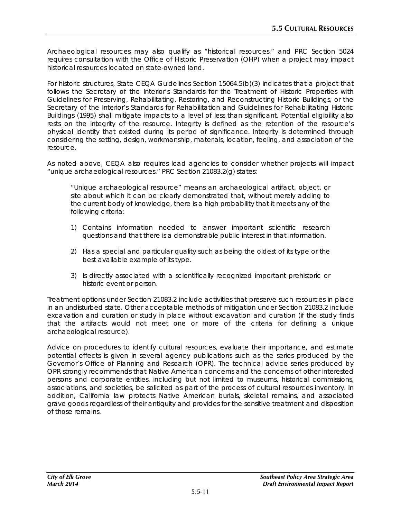Archaeological resources may also qualify as "historical resources," and PRC Section 5024 requires consultation with the Office of Historic Preservation (OHP) when a project may impact historical resources located on state-owned land.

For historic structures, State CEQA Guidelines Section 15064.5(b)(3) indicates that a project that follows the Secretary of the Interior's Standards for the Treatment of Historic Properties with Guidelines for Preserving, Rehabilitating, Restoring, and Reconstructing Historic Buildings, or the Secretary of the Interior's Standards for Rehabilitation and Guidelines for Rehabilitating Historic Buildings (1995) shall mitigate impacts to a level of less than significant. Potential eligibility also rests on the integrity of the resource. Integrity is defined as the retention of the resource's physical identity that existed during its period of significance. Integrity is determined through considering the setting, design, workmanship, materials, location, feeling, and association of the resource.

As noted above, CEQA also requires lead agencies to consider whether projects will impact "unique archaeological resources." PRC Section 21083.2(g) states:

*"Unique archaeological resource" means an archaeological artifact, object, or site about which it can be clearly demonstrated that, without merely adding to the current body of knowledge, there is a high probability that it meets any of the following criteria:*

- *1) Contains information needed to answer important scientific research questions and that there is a demonstrable public interest in that information.*
- *2) Has a special and particular quality such as being the oldest of its type or the best available example of its type.*
- *3) Is directly associated with a scientifically recognized important prehistoric or historic event or person.*

Treatment options under Section 21083.2 include activities that preserve such resources in place in an undisturbed state. Other acceptable methods of mitigation under Section 21083.2 include excavation and curation or study in place without excavation and curation (if the study finds that the artifacts would not meet one or more of the criteria for defining a unique archaeological resource).

Advice on procedures to identify cultural resources, evaluate their importance, and estimate potential effects is given in several agency publications such as the series produced by the Governor's Office of Planning and Research (OPR). The technical advice series produced by OPR strongly recommends that Native American concerns and the concerns of other interested persons and corporate entities, including but not limited to museums, historical commissions, associations, and societies, be solicited as part of the process of cultural resources inventory. In addition, California law protects Native American burials, skeletal remains, and associated grave goods regardless of their antiquity and provides for the sensitive treatment and disposition of those remains.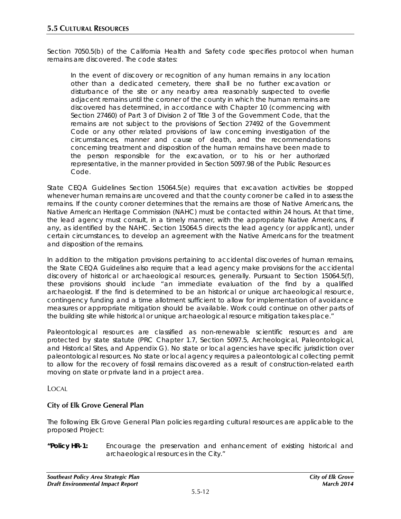Section 7050.5(b) of the California Health and Safety code specifies protocol when human remains are discovered. The code states:

*In the event of discovery or recognition of any human remains in any location other than a dedicated cemetery, there shall be no further excavation or disturbance of the site or any nearby area reasonably suspected to overlie adjacent remains until the coroner of the county in which the human remains are discovered has determined, in accordance with Chapter 10 (commencing with Section 27460) of Part 3 of Division 2 of Title 3 of the Government Code, that the*  remains are not subject to the provisions of Section 27492 of the Government *Code or any other related provisions of law concerning investigation of the circumstances, manner and cause of death, and the recommendations concerning treatment and disposition of the human remains have been made to the person responsible for the excavation, or to his or her authorized representative, in the manner provided in Section 5097.98 of the Public Resources Code.*

State CEQA Guidelines Section 15064.5(e) requires that excavation activities be stopped whenever human remains are uncovered and that the county coroner be called in to assess the remains. If the county coroner determines that the remains are those of Native Americans, the Native American Heritage Commission (NAHC) must be contacted within 24 hours. At that time, the lead agency must consult, in a timely manner, with the appropriate Native Americans, if any, as identified by the NAHC. Section 15064.5 directs the lead agency (or applicant), under certain circumstances, to develop an agreement with the Native Americans for the treatment and disposition of the remains.

In addition to the mitigation provisions pertaining to accidental discoveries of human remains, the State CEQA Guidelines also require that a lead agency make provisions for the accidental discovery of historical or archaeological resources, generally. Pursuant to Section 15064.5(f), these provisions should include "an immediate evaluation of the find by a qualified archaeologist. If the find is determined to be an historical or unique archaeological resource, contingency funding and a time allotment sufficient to allow for implementation of avoidance measures or appropriate mitigation should be available. Work could continue on other parts of the building site while historical or unique archaeological resource mitigation takes place."

Paleontological resources are classified as non-renewable scientific resources and are protected by state statute (PRC Chapter 1.7, Section 5097.5, Archeological, Paleontological, and Historical Sites, and Appendix G). No state or local agencies have specific jurisdiction over paleontological resources. No state or local agency requires a paleontological collecting permit to allow for the recovery of fossil remains discovered as a result of construction-related earth moving on state or private land in a project area.

LOCAL

## **City of Elk Grove General Plan**

The following Elk Grove General Plan policies regarding cultural resources are applicable to the proposed Project:

**"Policy HR-1:** Encourage the preservation and enhancement of existing historical and archaeological resources in the City."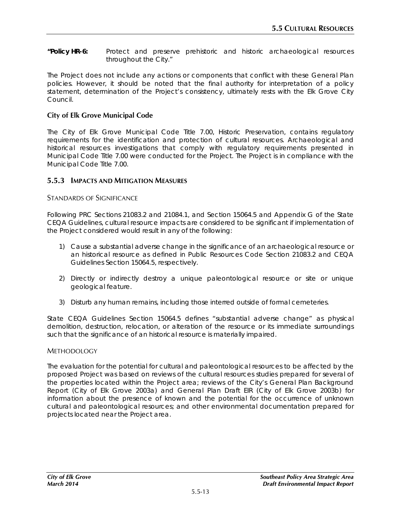**"Policy HR-6:** Protect and preserve prehistoric and historic archaeological resources throughout the City."

The Project does not include any actions or components that conflict with these General Plan policies. However, it should be noted that the final authority for interpretation of a policy statement, determination of the Project's consistency, ultimately rests with the Elk Grove City Council.

### **City of Elk Grove Municipal Code**

The City of Elk Grove Municipal Code Title 7.00, Historic Preservation, contains regulatory requirements for the identification and protection of cultural resources. Archaeological and historical resources investigations that comply with regulatory requirements presented in Municipal Code Title 7.00 were conducted for the Project. The Project is in compliance with the Municipal Code Title 7.00.

### **5.5.3 IMPACTS AND MITIGATION MEASURES**

#### STANDARDS OF SIGNIFICANCE

Following PRC Sections 21083.2 and 21084.1, and Section 15064.5 and Appendix G of the State CEQA Guidelines, cultural resource impacts are considered to be significant if implementation of the Project considered would result in any of the following:

- 1) Cause a substantial adverse change in the significance of an archaeological resource or an historical resource as defined in Public Resources Code Section 21083.2 and CEQA Guidelines Section 15064.5, respectively.
- 2) Directly or indirectly destroy a unique paleontological resource or site or unique geological feature.
- 3) Disturb any human remains, including those interred outside of formal cemeteries.

State CEQA Guidelines Section 15064.5 defines "substantial adverse change" as physical demolition, destruction, relocation, or alteration of the resource or its immediate surroundings such that the significance of an historical resource is materially impaired.

#### METHODOLOGY

The evaluation for the potential for cultural and paleontological resources to be affected by the proposed Project was based on reviews of the cultural resources studies prepared for several of the properties located within the Project area; reviews of the City's General Plan Background Report (City of Elk Grove 2003a) and General Plan Draft EIR (City of Elk Grove 2003b) for information about the presence of known and the potential for the occurrence of unknown cultural and paleontological resources; and other environmental documentation prepared for projects located near the Project area.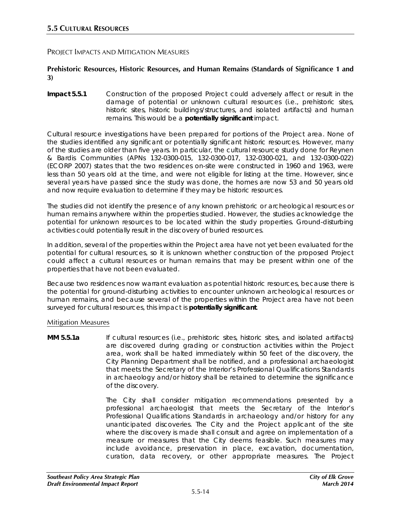#### PROJECT IMPACTS AND MITIGATION MEASURES

#### **Prehistoric Resources, Historic Resources, and Human Remains (Standards of Significance 1 and 3)**

**Impact 5.5.1** Construction of the proposed Project could adversely affect or result in the damage of potential or unknown cultural resources (i.e., prehistoric sites, historic sites, historic buildings/structures, and isolated artifacts) and human remains. This would be a **potentially significant** impact.

Cultural resource investigations have been prepared for portions of the Project area. None of the studies identified any significant or potentially significant historic resources. However, many of the studies are older than five years. In particular, the cultural resource study done for Reynen & Bardis Communities (APNs 132-0300-015, 132-0300-017, 132-0300-021, and 132-0300-022) (ECORP 2007) states that the two residences on-site were constructed in 1960 and 1963, were less than 50 years old at the time, and were not eligible for listing at the time. However, since several years have passed since the study was done, the homes are now 53 and 50 years old and now require evaluation to determine if they may be historic resources.

The studies did not identify the presence of any known prehistoric or archeological resources or human remains anywhere within the properties studied. However, the studies acknowledge the potential for unknown resources to be located within the study properties. Ground-disturbing activities could potentially result in the discovery of buried resources.

In addition, several of the properties within the Project area have not yet been evaluated for the potential for cultural resources, so it is unknown whether construction of the proposed Project could affect a cultural resources or human remains that may be present within one of the properties that have not been evaluated.

Because two residences now warrant evaluation as potential historic resources, because there is the potential for ground-disturbing activities to encounter unknown archeological resources or human remains, and because several of the properties within the Project area have not been surveyed for cultural resources, this impact is **potentially significant**.

#### Mitigation Measures

**MM 5.5.1a** If cultural resources (i.e., prehistoric sites, historic sites, and isolated artifacts) are discovered during grading or construction activities within the Project area, work shall be halted immediately within 50 feet of the discovery, the City Planning Department shall be notified, and a professional archaeologist that meets the Secretary of the Interior's Professional Qualifications Standards in archaeology and/or history shall be retained to determine the significance of the discovery.

> The City shall consider mitigation recommendations presented by a professional archaeologist that meets the Secretary of the Interior's Professional Qualifications Standards in archaeology and/or history for any unanticipated discoveries. The City and the Project applicant of the site where the discovery is made shall consult and agree on implementation of a measure or measures that the City deems feasible. Such measures may include avoidance, preservation in place, excavation, documentation, curation, data recovery, or other appropriate measures. The Project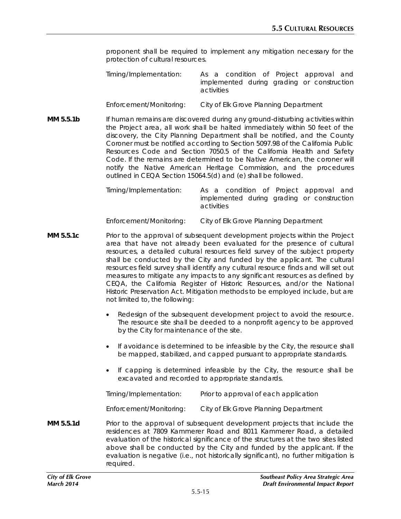proponent shall be required to implement any mitigation necessary for the protection of cultural resources.

*Timing/Implementation: As a condition of Project approval and implemented during grading or construction activities*

- *Enforcement/Monitoring: City of Elk Grove Planning Department*
- **MM 5.5.1b** If human remains are discovered during any ground-disturbing activities within the Project area, all work shall be halted immediately within 50 feet of the discovery, the City Planning Department shall be notified, and the County Coroner must be notified according to Section 5097.98 of the California Public Resources Code and Section 7050.5 of the California Health and Safety Code. If the remains are determined to be Native American, the coroner will notify the Native American Heritage Commission, and the procedures outlined in CEQA Section 15064.5(d) and (e) shall be followed.

*Timing/Implementation: As a condition of Project approval and implemented during grading or construction activities*

*Enforcement/Monitoring: City of Elk Grove Planning Department*

- **MM 5.5.1c** Prior to the approval of subsequent development projects within the Project area that have not already been evaluated for the presence of cultural resources, a detailed cultural resources field survey of the subject property shall be conducted by the City and funded by the applicant. The cultural resources field survey shall identify any cultural resource finds and will set out measures to mitigate any impacts to any significant resources as defined by CEQA, the California Register of Historic Resources, and/or the National Historic Preservation Act. Mitigation methods to be employed include, but are not limited to, the following:
	- Redesign of the subsequent development project to avoid the resource. The resource site shall be deeded to a nonprofit agency to be approved by the City for maintenance of the site.
	- If avoidance is determined to be infeasible by the City, the resource shall be mapped, stabilized, and capped pursuant to appropriate standards.
	- If capping is determined infeasible by the City, the resource shall be excavated and recorded to appropriate standards.

| Timing/Implementation:  | Prior to approval of each application |
|-------------------------|---------------------------------------|
| Enforcement/Monitoring: | City of Elk Grove Planning Department |

**MM 5.5.1d** Prior to the approval of subsequent development projects that include the residences at 7809 Kammerer Road and 8011 Kammerer Road, a detailed evaluation of the historical significance of the structures at the two sites listed above shall be conducted by the City and funded by the applicant. If the evaluation is negative (i.e., not historically significant), no further mitigation is required.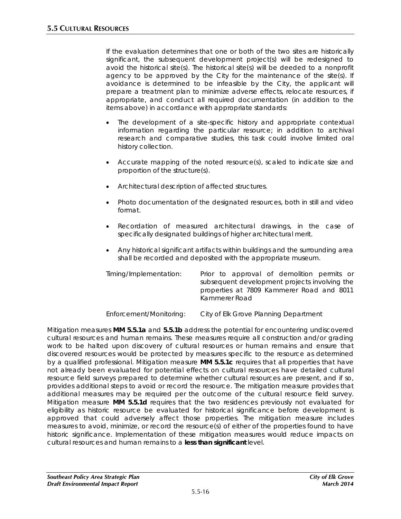If the evaluation determines that one or both of the two sites are historically significant, the subsequent development project(s) will be redesigned to avoid the historical site(s). The historical site(s) will be deeded to a nonprofit agency to be approved by the City for the maintenance of the site(s). If avoidance is determined to be infeasible by the City, the applicant will prepare a treatment plan to minimize adverse effects, relocate resources, if appropriate, and conduct all required documentation (in addition to the items above) in accordance with appropriate standards:

- The development of a site-specific history and appropriate contextual information regarding the particular resource; in addition to archival research and comparative studies, this task could involve limited oral history collection.
- Accurate mapping of the noted resource(s), scaled to indicate size and proportion of the structure(s).
- Architectural description of affected structures.
- Photo documentation of the designated resources, both in still and video format.
- Recordation of measured architectural drawings, in the case of specifically designated buildings of higher architectural merit.
- Any historical significant artifacts within buildings and the surrounding area shall be recorded and deposited with the appropriate museum.

| Timing/Implementation:  | Prior to approval of demolition permits or<br>subsequent development projects involving the<br>properties at 7809 Kammerer Road and 8011<br>Kammerer Road |
|-------------------------|-----------------------------------------------------------------------------------------------------------------------------------------------------------|
| Enforcement/Monitoring: | City of Elk Grove Planning Department                                                                                                                     |

Mitigation measures **MM 5.5.1a** and **5.5.1b** address the potential for encountering undiscovered cultural resources and human remains. These measures require all construction and/or grading work to be halted upon discovery of cultural resources or human remains and ensure that discovered resources would be protected by measures specific to the resource as determined by a qualified professional. Mitigation measure **MM 5.5.1c** requires that all properties that have not already been evaluated for potential effects on cultural resources have detailed cultural resource field surveys prepared to determine whether cultural resources are present, and if so, provides additional steps to avoid or record the resource. The mitigation measure provides that additional measures may be required per the outcome of the cultural resource field survey. Mitigation measure **MM 5.5.1d** requires that the two residences previously not evaluated for eligibility as historic resource be evaluated for historical significance before development is approved that could adversely affect those properties. The mitigation measure includes measures to avoid, minimize, or record the resource(s) of either of the properties found to have historic significance. Implementation of these mitigation measures would reduce impacts on cultural resources and human remains to a **less than significant** level.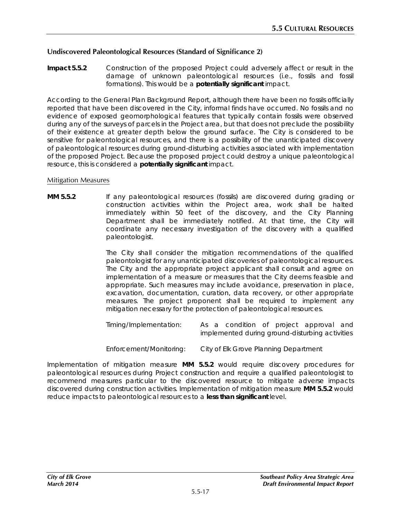### **Undiscovered Paleontological Resources (Standard of Significance 2)**

**Impact 5.5.2** Construction of the proposed Project could adversely affect or result in the damage of unknown paleontological resources (i.e., fossils and fossil formations). This would be a **potentially significant** impact.

According to the General Plan Background Report, although there have been no fossils officially reported that have been discovered in the City, informal finds have occurred. No fossils and no evidence of exposed geomorphological features that typically contain fossils were observed during any of the surveys of parcels in the Project area, but that does not preclude the possibility of their existence at greater depth below the ground surface. The City is considered to be sensitive for paleontological resources, and there is a possibility of the unanticipated discovery of paleontological resources during ground-disturbing activities associated with implementation of the proposed Project. Because the proposed project could destroy a unique paleontological resource, this is considered a **potentially significant** impact.

#### Mitigation Measures

**MM 5.5.2** If any paleontological resources (fossils) are discovered during grading or construction activities within the Project area, work shall be halted immediately within 50 feet of the discovery, and the City Planning Department shall be immediately notified. At that time, the City will coordinate any necessary investigation of the discovery with a qualified paleontologist.

> The City shall consider the mitigation recommendations of the qualified paleontologist for any unanticipated discoveries of paleontological resources. The City and the appropriate project applicant shall consult and agree on implementation of a measure or measures that the City deems feasible and appropriate. Such measures may include avoidance, preservation in place, excavation, documentation, curation, data recovery, or other appropriate measures. The project proponent shall be required to implement any mitigation necessary for the protection of paleontological resources.

> *Timing/Implementation: As a condition of project approval and implemented during ground-disturbing activities*

*Enforcement/Monitoring: City of Elk Grove Planning Department*

Implementation of mitigation measure **MM 5.5.2** would require discovery procedures for paleontological resources during Project construction and require a qualified paleontologist to recommend measures particular to the discovered resource to mitigate adverse impacts discovered during construction activities. Implementation of mitigation measure **MM 5.5.2** would reduce impacts to paleontological resources to a **less than significant** level.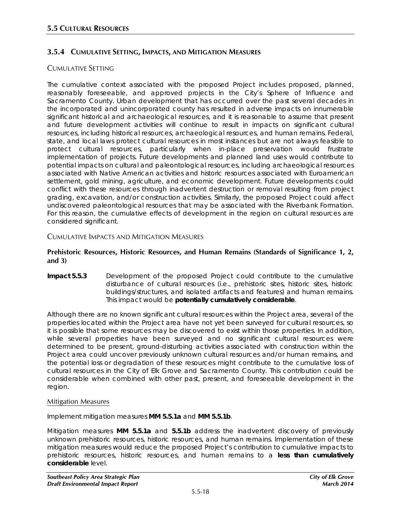# **3.5.4 CUMULATIVE SETTING, IMPACTS, AND MITIGATION MEASURES**

### CUMULATIVE SETTING

The cumulative context associated with the proposed Project includes proposed, planned, reasonably foreseeable, and approved projects in the City's Sphere of Influence and Sacramento County. Urban development that has occurred over the past several decades in the incorporated and unincorporated county has resulted in adverse impacts on innumerable significant historical and archaeological resources, and it is reasonable to assume that present and future development activities will continue to result in impacts on significant cultural resources, including historical resources, archaeological resources, and human remains. Federal, state, and local laws protect cultural resources in most instances but are not always feasible to protect cultural resources, particularly when in-place preservation would frustrate implementation of projects. Future developments and planned land uses would contribute to potential impacts on cultural and paleontological resources, including archaeological resources associated with Native American activities and historic resources associated with Euroamerican settlement, gold mining, agriculture, and economic development. Future developments could conflict with these resources through inadvertent destruction or removal resulting from project grading, excavation, and/or construction activities. Similarly, the proposed Project could affect undiscovered paleontological resources that may be associated with the Riverbank Formation. For this reason, the cumulative effects of development in the region on cultural resources are considered significant.

CUMULATIVE IMPACTS AND MITIGATION MEASURES

#### **Prehistoric Resources, Historic Resources, and Human Remains (Standards of Significance 1, 2, and 3)**

**Impact 5.5.3** Development of the proposed Project could contribute to the cumulative disturbance of cultural resources (i.e., prehistoric sites, historic sites, historic buildings/structures, and isolated artifacts and features) and human remains. This impact would be **potentially cumulatively considerable**.

Although there are no known significant cultural resources within the Project area, several of the properties located within the Project area have not yet been surveyed for cultural resources, so it is possible that some resources may be discovered to exist within those properties. In addition, while several properties have been surveyed and no significant cultural resources were determined to be present, ground-disturbing activities associated with construction within the Project area could uncover previously unknown cultural resources and/or human remains, and the potential loss or degradation of these resources might contribute to the cumulative loss of cultural resources in the City of Elk Grove and Sacramento County. This contribution could be considerable when combined with other past, present, and foreseeable development in the region.

#### Mitigation Measures

Implement mitigation measures **MM 5.5.1a** and **MM 5.5.1b**.

Mitigation measures **MM 5.5.1a** and **5.5.1b** address the inadvertent discovery of previously unknown prehistoric resources, historic resources, and human remains. Implementation of these mitigation measures would reduce the proposed Project's contribution to cumulative impacts to prehistoric resources, historic resources, and human remains to a **less than cumulatively considerable** level.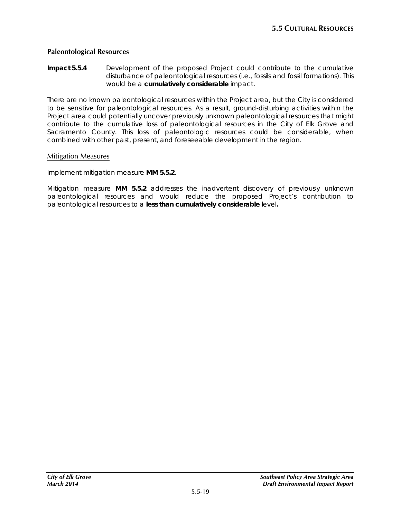#### **Paleontological Resources**

**Impact 5.5.4** Development of the proposed Project could contribute to the cumulative disturbance of paleontological resources (i.e., fossils and fossil formations). This would be a **cumulatively considerable** impact.

There are no known paleontological resources within the Project area, but the City is considered to be sensitive for paleontological resources. As a result, ground-disturbing activities within the Project area could potentially uncover previously unknown paleontological resources that might contribute to the cumulative loss of paleontological resources in the City of Elk Grove and Sacramento County. This loss of paleontologic resources could be considerable, when combined with other past, present, and foreseeable development in the region.

#### Mitigation Measures

Implement mitigation measure **MM 5.5.2**.

Mitigation measure **MM 5.5.2** addresses the inadvertent discovery of previously unknown paleontological resources and would reduce the proposed Project's contribution to paleontological resources to a **less than cumulatively considerable** level**.**